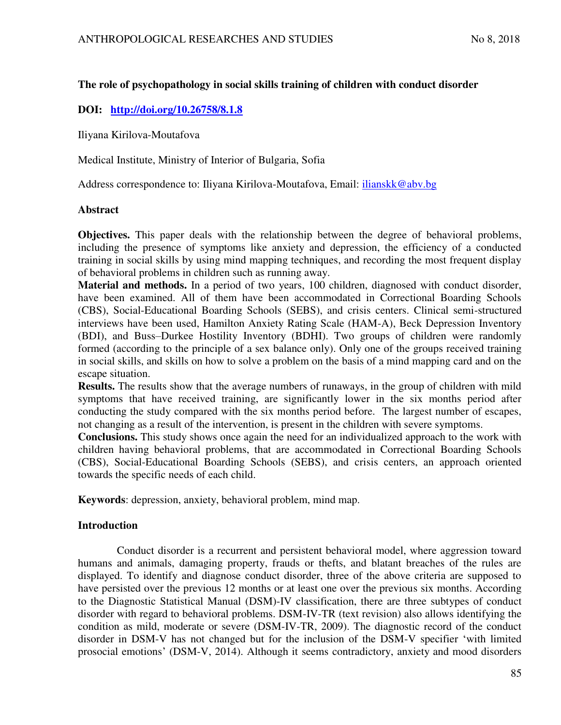# **The role of psychopathology in social skills training of children with conduct disorder**

# **DOI: <http://doi.org/10.26758/8.1.8>**

Iliyana Kirilova-Moutafova

Medical Institute, Ministry of Interior of Bulgaria, Sofia

Address correspondence to: Iliyana Kirilova-Moutafova, Email: [ilianskk@abv.bg](mailto:ilianskk@abv.bg)

### **Abstract**

**Objectives.** This paper deals with the relationship between the degree of behavioral problems, including the presence of symptoms like anxiety and depression, the efficiency of a conducted training in social skills by using mind mapping techniques, and recording the most frequent display of behavioral problems in children such as running away.

**Material and methods.** In a period of two years, 100 children, diagnosed with conduct disorder, have been examined. All of them have been accommodated in Correctional Boarding Schools (CBS), Social-Educational Boarding Schools (SEBS), and crisis centers. Clinical semi-structured interviews have been used, Hamilton Anxiety Rating Scale (HAM-A), Beck Depression Inventory (BDI), and Buss–Durkee Hostility Inventory (BDHI). Two groups of children were randomly formed (according to the principle of a sex balance only). Only one of the groups received training in social skills, and skills on how to solve a problem on the basis of a mind mapping card and on the escape situation.

**Results.** The results show that the average numbers of runaways, in the group of children with mild symptoms that have received training, are significantly lower in the six months period after conducting the study compared with the six months period before. The largest number of escapes, not changing as a result of the intervention, is present in the children with severe symptoms.

**Conclusions.** This study shows once again the need for an individualized approach to the work with children having behavioral problems, that are accommodated in Correctional Boarding Schools (CBS), Social-Educational Boarding Schools (SEBS), and crisis centers, an approach oriented towards the specific needs of each child.

**Keywords**: depression, anxiety, behavioral problem, mind map.

# **Introduction**

Conduct disorder is a recurrent and persistent behavioral model, where aggression toward humans and animals, damaging property, frauds or thefts, and blatant breaches of the rules are displayed. To identify and diagnose conduct disorder, three of the above criteria are supposed to have persisted over the previous 12 months or at least one over the previous six months. According to the Diagnostic Statistical Manual (DSM)-IV classification, there are three subtypes of conduct disorder with regard to behavioral problems. DSM-IV-TR (text revision) also allows identifying the condition as mild, moderate or severe (DSM-IV-TR, 2009). The diagnostic record of the conduct disorder in DSM-V has not changed but for the inclusion of the DSM-V specifier 'with limited prosocial emotions' (DSM-V, 2014). Although it seems contradictory, anxiety and mood disorders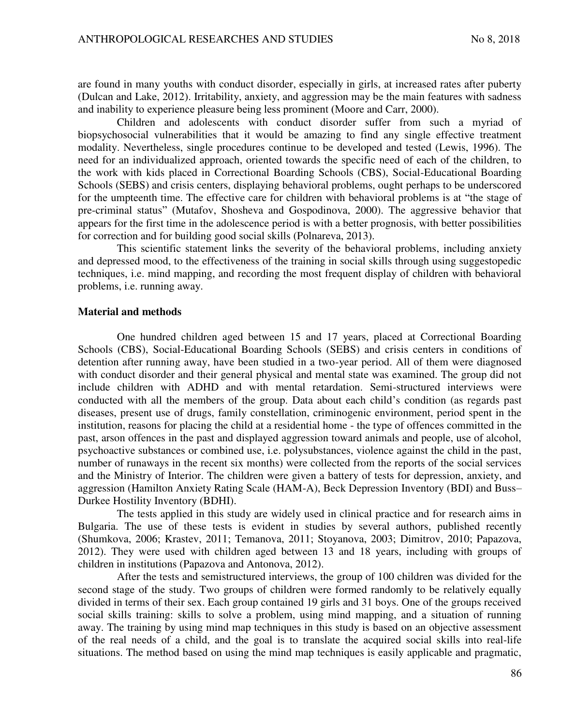are found in many youths with conduct disorder, especially in girls, at increased rates after puberty (Dulcan and Lake, 2012). Irritability, anxiety, and aggression may be the main features with sadness and inability to experience pleasure being less prominent (Μoore and Carr, 2000).

Children and adolescents with conduct disorder suffer from such a myriad of biopsychosocial vulnerabilities that it would be amazing to find any single effective treatment modality. Nevertheless, single procedures continue to be developed and tested (Lewis, 1996). The need for an individualized approach, oriented towards the specific need of each of the children, to the work with kids placed in Correctional Boarding Schools (CBS), Social-Educational Boarding Schools (SEBS) and crisis centers, displaying behavioral problems, ought perhaps to be underscored for the umpteenth time. The effective care for children with behavioral problems is at "the stage of pre-criminal status" (Mutafov, Shosheva and Gospodinova, 2000). The aggressive behavior that appears for the first time in the adolescence period is with a better prognosis, with better possibilities for correction and for building good social skills (Polnareva, 2013).

This scientific statement links the severity of the behavioral problems, including anxiety and depressed mood, to the effectiveness of the training in social skills through using suggestopedic techniques, i.e. mind mapping, and recording the most frequent display of children with behavioral problems, i.e. running away.

#### **Material and methods**

One hundred children aged between 15 and 17 years, placed at Correctional Boarding Schools (CBS), Social-Educational Boarding Schools (SEBS) and crisis centers in conditions of detention after running away, have been studied in a two-year period. All of them were diagnosed with conduct disorder and their general physical and mental state was examined. The group did not include children with ADHD and with mental retardation. Semi-structured interviews were conducted with all the members of the group. Data about each child's condition (as regards past diseases, present use of drugs, family constellation, criminogenic environment, period spent in the institution, reasons for placing the child at a residential home - the type of offences committed in the past, arson offences in the past and displayed aggression toward animals and people, use of alcohol, psychoactive substances or combined use, i.e. polysubstances, violence against the child in the past, number of runaways in the recent six months) were collected from the reports of the social services and the Ministry of Interior. The children were given a battery of tests for depression, anxiety, and aggression (Hamilton Anxiety Rating Scale (HAM-A), Beck Depression Inventory (BDI) and Buss– Durkee Hostility Inventory (BDHI).

The tests applied in this study are widely used in clinical practice and for research aims in Bulgaria. The use of these tests is evident in studies by several authors, published recently (Shumkova, 2006; Krastev, 2011; Temanova, 2011; Stoyanova, 2003; Dimitrov, 2010; Papazova, 2012). They were used with children aged between 13 and 18 years, including with groups of children in institutions (Papazova and Antonova, 2012).

After the tests and semistructured interviews, the group of 100 children was divided for the second stage of the study. Two groups of children were formed randomly to be relatively equally divided in terms of their sex. Each group contained 19 girls and 31 boys. One of the groups received social skills training: skills to solve a problem, using mind mapping, and a situation of running away. The training by using mind map techniques in this study is based on an objective assessment of the real needs of a child, and the goal is to translate the acquired social skills into real-life situations. The method based on using the mind map techniques is easily applicable and pragmatic,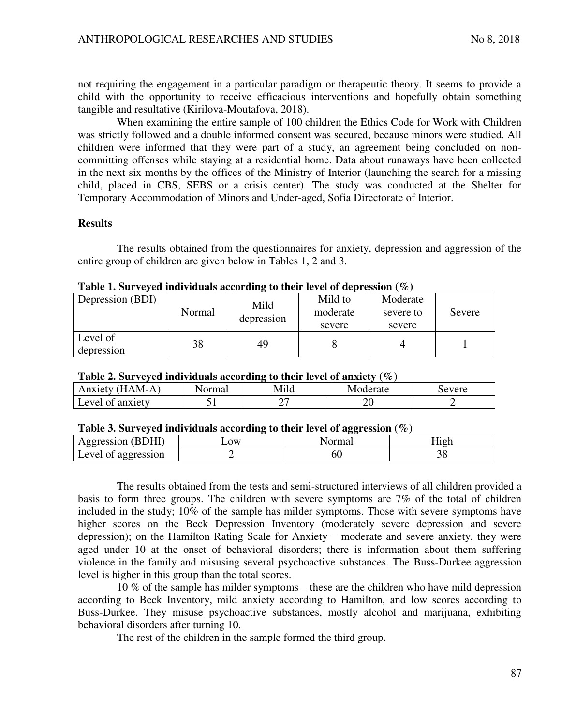not requiring the engagement in a particular paradigm or therapeutic theory. It seems to provide a child with the opportunity to receive efficacious interventions and hopefully obtain something tangible and resultative (Kirilova-Moutafova, 2018).

When examining the entire sample of 100 children the Ethics Code for Work with Children was strictly followed and a double informed consent was secured, because minors were studied. All children were informed that they were part of a study, an agreement being concluded on noncommitting offenses while staying at a residential home. Data about runaways have been collected in the next six months by the offices of the Ministry of Interior (launching the search for a missing child, placed in CBS, SEBS or a crisis center). The study was conducted at the Shelter for Temporary Accommodation of Minors and Under-aged, Sofia Directorate of Interior.

### **Results**

The results obtained from the questionnaires for anxiety, depression and aggression of the entire group of children are given below in Tables 1, 2 and 3.

| Depression (BDI)       | Normal | Mild<br>depression | Mild to<br>moderate<br>severe | Moderate<br>severe to<br>severe | Severe |
|------------------------|--------|--------------------|-------------------------------|---------------------------------|--------|
| Level of<br>depression | 38     | 49                 |                               |                                 |        |

### **Table 2. Surveyed individuals according to their level of anxiety (%)**

| Anxiety (HAM-A)  | Normal | Mild | Moderate | severe |
|------------------|--------|------|----------|--------|
| Level of anxiety |        | -    | ∠∪       |        |

### **Table 3. Surveyed individuals according to their level of aggression (%)**

|                             | .<br>___ | oc<br>------- | ____  |
|-----------------------------|----------|---------------|-------|
| DHI<br>Aggression<br>к.     | 10W      |               | 1 O I |
| Level of<br>aggression<br>ັ |          | OU            | 90    |

The results obtained from the tests and semi-structured interviews of all children provided a basis to form three groups. The children with severe symptoms are 7% of the total of children included in the study; 10% of the sample has milder symptoms. Those with severe symptoms have higher scores on the Beck Depression Inventory (moderately severe depression and severe depression); on the Hamilton Rating Scale for Anxiety – moderate and severe anxiety, they were aged under 10 at the onset of behavioral disorders; there is information about them suffering violence in the family and misusing several psychoactive substances. The Buss-Durkee aggression level is higher in this group than the total scores.

10 % of the sample has milder symptoms – these are the children who have mild depression according to Beck Inventory, mild anxiety according to Hamilton, and low scores according to Buss-Durkee. They misuse psychoactive substances, mostly alcohol and marijuana, exhibiting behavioral disorders after turning 10.

The rest of the children in the sample formed the third group.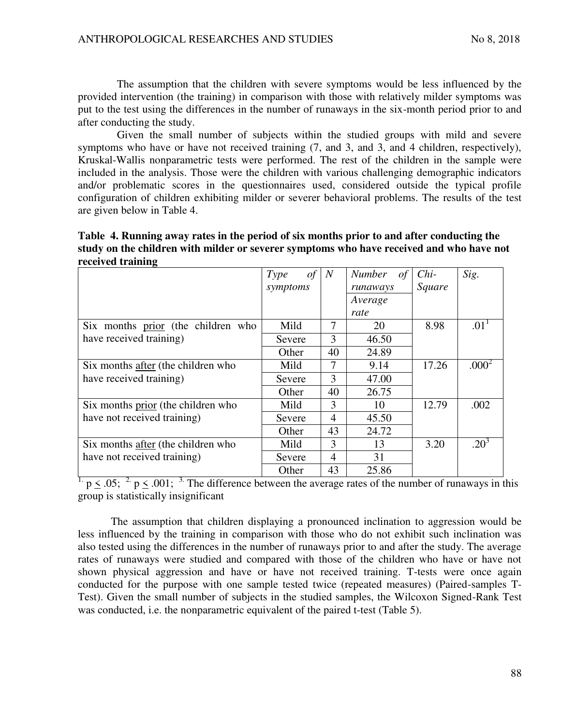The assumption that the children with severe symptoms would be less influenced by the provided intervention (the training) in comparison with those with relatively milder symptoms was put to the test using the differences in the number of runaways in the six-month period prior to and after conducting the study.

Given the small number of subjects within the studied groups with mild and severe symptoms who have or have not received training (7, and 3, and 3, and 4 children, respectively), Kruskal-Wallis nonparametric tests were performed. The rest of the children in the sample were included in the analysis. Those were the children with various challenging demographic indicators and/or problematic scores in the questionnaires used, considered outside the typical profile configuration of children exhibiting milder or severer behavioral problems. The results of the test are given below in Table 4.

**Table 4. Running away rates in the period of six months prior to and after conducting the study on the children with milder or severer symptoms who have received and who have not received training** 

|                                    | of<br>Type | $\overline{N}$ | Number<br>of | $Chi-$ | Sig.              |
|------------------------------------|------------|----------------|--------------|--------|-------------------|
|                                    | symptoms   |                | runaways     | Square |                   |
|                                    |            |                | Average      |        |                   |
|                                    |            |                | rate         |        |                   |
| Six months prior (the children who | Mild       | 7              | 20           | 8.98   | .01 <sup>1</sup>  |
| have received training)            | Severe     | 3              | 46.50        |        |                   |
|                                    | Other      | 40             | 24.89        |        |                   |
| Six months after (the children who | Mild       | 7              | 9.14         | 17.26  | .000 <sup>2</sup> |
| have received training)            | Severe     | 3              | 47.00        |        |                   |
|                                    | Other      | 40             | 26.75        |        |                   |
| Six months prior (the children who | Mild       | 3              | 10           | 12.79  | .002              |
| have not received training)        | Severe     | $\overline{4}$ | 45.50        |        |                   |
|                                    | Other      | 43             | 24.72        |        |                   |
| Six months after (the children who | Mild       | 3              | 13           | 3.20   | $20^{3}$          |
| have not received training)        | Severe     | $\overline{4}$ | 31           |        |                   |
|                                    | Other      | 43             | 25.86        |        |                   |

 $\frac{1}{1}$  p < .05;  $\frac{2}{1}$  p < .001;  $\frac{3}{1}$ . The difference between the average rates of the number of runaways in this group is statistically insignificant

The assumption that children displaying a pronounced inclination to aggression would be less influenced by the training in comparison with those who do not exhibit such inclination was also tested using the differences in the number of runaways prior to and after the study. The average rates of runaways were studied and compared with those of the children who have or have not shown physical aggression and have or have not received training. T-tests were once again conducted for the purpose with one sample tested twice (repeated measures) (Paired-samples T-Test). Given the small number of subjects in the studied samples, the Wilcoxon Signed-Rank Test was conducted, i.e. the nonparametric equivalent of the paired t-test (Table 5).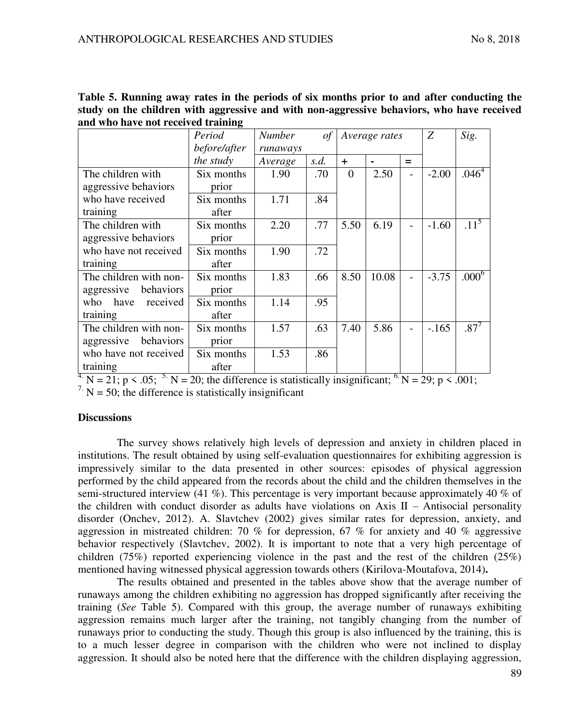|                         | Period     | <b>Number</b><br>$\sigma f$ |      | Average rates  |                | Z                        | Sig.    |                   |
|-------------------------|------------|-----------------------------|------|----------------|----------------|--------------------------|---------|-------------------|
| before/after            |            | runaways                    |      |                |                |                          |         |                   |
|                         | the study  | Average                     | s.d. | $\pm$          | $\blacksquare$ | $=$                      |         |                   |
| The children with       | Six months | 1.90                        | .70  | $\overline{0}$ | 2.50           | $\overline{\phantom{0}}$ | $-2.00$ | .046 <sup>4</sup> |
| aggressive behaviors    | prior      |                             |      |                |                |                          |         |                   |
| who have received       | Six months | 1.71                        | .84  |                |                |                          |         |                   |
| training                | after      |                             |      |                |                |                          |         |                   |
| The children with       | Six months | 2.20                        | .77  | 5.50           | 6.19           |                          | $-1.60$ | $.11^{5}$         |
| aggressive behaviors    | prior      |                             |      |                |                |                          |         |                   |
| who have not received   | Six months | 1.90                        | .72  |                |                |                          |         |                   |
| training                | after      |                             |      |                |                |                          |         |                   |
| The children with non-  | Six months | 1.83                        | .66  | 8.50           | 10.08          | $\overline{\phantom{0}}$ | $-3.75$ | $.000^6$          |
| behaviors<br>aggressive | prior      |                             |      |                |                |                          |         |                   |
| have<br>who<br>received | Six months | 1.14                        | .95  |                |                |                          |         |                   |
| training                | after      |                             |      |                |                |                          |         |                   |
| The children with non-  | Six months | 1.57                        | .63  | 7.40           | 5.86           | $\overline{\phantom{0}}$ | $-.165$ | .87'              |
| behaviors<br>aggressive | prior      |                             |      |                |                |                          |         |                   |
| who have not received   | Six months | 1.53                        | .86  |                |                |                          |         |                   |
| training                | after      |                             |      |                |                |                          |         |                   |

| Table 5. Running away rates in the periods of six months prior to and after conducting the |
|--------------------------------------------------------------------------------------------|
| study on the children with aggressive and with non-aggressive behaviors, who have received |
| and who have not received training                                                         |

<sup>4</sup>. N = 21; p < .05; <sup>5.</sup> N = 20; the difference is statistically insignificant; <sup>6.</sup> N = 29; p < .001;

<sup>7</sup>. N = 50; the difference is statistically insignificant

### **Discussions**

The survey shows relatively high levels of depression and anxiety in children placed in institutions. The result obtained by using self-evaluation questionnaires for exhibiting aggression is impressively similar to the data presented in other sources: episodes of physical aggression performed by the child appeared from the records about the child and the children themselves in the semi-structured interview (41 %). This percentage is very important because approximately 40 % of the children with conduct disorder as adults have violations on Axis  $II$  – Antisocial personality disorder (Onchev, 2012). A. Slavtchev (2002) gives similar rates for depression, anxiety, and aggression in mistreated children: 70 % for depression, 67 % for anxiety and 40 % aggressive behavior respectively (Slavtchev, 2002). It is important to note that a very high percentage of children (75%) reported experiencing violence in the past and the rest of the children (25%) mentioned having witnessed physical aggression towards others (Kirilova-Moutafova, 2014)**.** 

The results obtained and presented in the tables above show that the average number of runaways among the children exhibiting no aggression has dropped significantly after receiving the training (*See* Table 5). Compared with this group, the average number of runaways exhibiting aggression remains much larger after the training, not tangibly changing from the number of runaways prior to conducting the study. Though this group is also influenced by the training, this is to a much lesser degree in comparison with the children who were not inclined to display aggression. It should also be noted here that the difference with the children displaying aggression,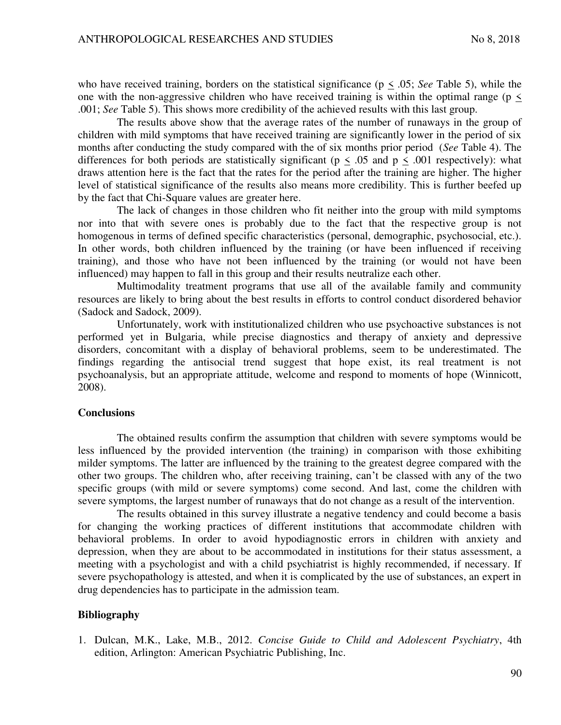who have received training, borders on the statistical significance (p < .05; *See* Table 5), while the one with the non-aggressive children who have received training is within the optimal range ( $p \le$ .001; *See* Table 5). This shows more credibility of the achieved results with this last group.

The results above show that the average rates of the number of runaways in the group of children with mild symptoms that have received training are significantly lower in the period of six months after conducting the study compared with the of six months prior period (*See* Table 4). The differences for both periods are statistically significant ( $p \leq .05$  and  $p \leq .001$  respectively): what draws attention here is the fact that the rates for the period after the training are higher. The higher level of statistical significance of the results also means more credibility. This is further beefed up by the fact that Chi-Square values are greater here.

The lack of changes in those children who fit neither into the group with mild symptoms nor into that with severe ones is probably due to the fact that the respective group is not homogenous in terms of defined specific characteristics (personal, demographic, psychosocial, etc.). In other words, both children influenced by the training (or have been influenced if receiving training), and those who have not been influenced by the training (or would not have been influenced) may happen to fall in this group and their results neutralize each other.

Multimodality treatment programs that use all of the available family and community resources are likely to bring about the best results in efforts to control conduct disordered behavior (Sadock and Sadock, 2009).

Unfortunately, work with institutionalized children who use psychoactive substances is not performed yet in Bulgaria, while precise diagnostics and therapy of anxiety and depressive disorders, concomitant with a display of behavioral problems, seem to be underestimated. The findings regarding the antisocial trend suggest that hope exist, its real treatment is not psychoanalysis, but an appropriate attitude, welcome and respond to moments of hope (Winnicott, 2008).

### **Conclusions**

The obtained results confirm the assumption that children with severe symptoms would be less influenced by the provided intervention (the training) in comparison with those exhibiting milder symptoms. The latter are influenced by the training to the greatest degree compared with the other two groups. The children who, after receiving training, can't be classed with any of the two specific groups (with mild or severe symptoms) come second. And last, come the children with severe symptoms, the largest number of runaways that do not change as a result of the intervention.

The results obtained in this survey illustrate a negative tendency and could become a basis for changing the working practices of different institutions that accommodate children with behavioral problems. In order to avoid hypodiagnostic errors in children with anxiety and depression, when they are about to be accommodated in institutions for their status assessment, a meeting with a psychologist and with a child psychiatrist is highly recommended, if necessary. If severe psychopathology is attested, and when it is complicated by the use of substances, an expert in drug dependencies has to participate in the admission team.

### **Bibliography**

1. Dulcan, M.K., Lake, M.B., 2012. *Concise Guide to Child and Adolescent Psychiatry*, 4th edition, Arlington: American Psychiatric Publishing, Inc.